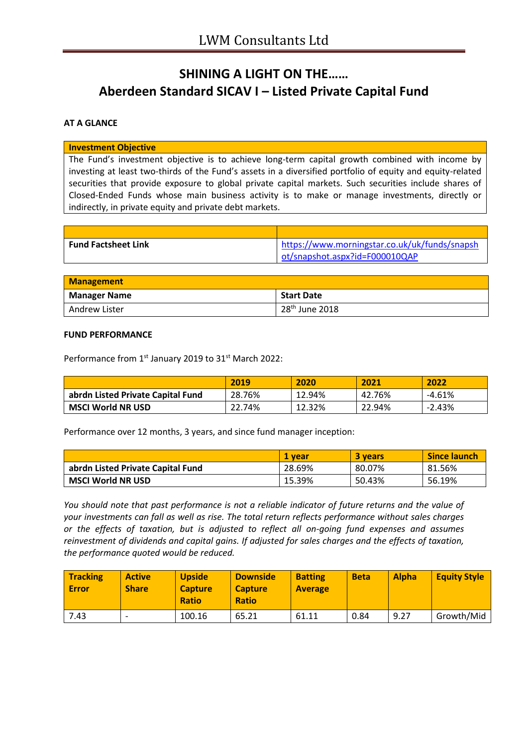# **SHINING A LIGHT ON THE…… Aberdeen Standard SICAV I – Listed Private Capital Fund**

## **AT A GLANCE**

#### **Investment Objective**

The Fund's investment objective is to achieve long-term capital growth combined with income by investing at least two-thirds of the Fund's assets in a diversified portfolio of equity and equity-related securities that provide exposure to global private capital markets. Such securities include shares of Closed-Ended Funds whose main business activity is to make or manage investments, directly or indirectly, in private equity and private debt markets.

| <b>Fund Factsheet Link</b> | https://www.morningstar.co.uk/uk/funds/snapsh |
|----------------------------|-----------------------------------------------|
|                            | ot/snapshot.aspx?id=F000010QAP                |

| <b>Management</b>   |                            |  |
|---------------------|----------------------------|--|
| <b>Manager Name</b> | <b>Start Date</b>          |  |
| Andrew Lister       | 28 <sup>th</sup> June 2018 |  |

### **FUND PERFORMANCE**

Performance from 1<sup>st</sup> January 2019 to 31<sup>st</sup> March 2022:

|                                   | 2019   | 2020   | 2021   | 2022     |
|-----------------------------------|--------|--------|--------|----------|
| abrdn Listed Private Capital Fund | 28.76% | 12.94% | 42.76% | $-4.61%$ |
| <b>MSCI World NR USD</b>          | 22.74% | 12.32% | 22.94% | $-2.43%$ |

Performance over 12 months, 3 years, and since fund manager inception:

|                                   | 1 vear | <b>3 years</b> | <b>Since launch</b> |
|-----------------------------------|--------|----------------|---------------------|
| abrdn Listed Private Capital Fund | 28.69% | 80.07%         | 81.56%              |
| <b>MSCI World NR USD</b>          | 15.39% | 50.43%         | 56.19%              |

*You should note that past performance is not a reliable indicator of future returns and the value of your investments can fall as well as rise. The total return reflects performance without sales charges or the effects of taxation, but is adjusted to reflect all on-going fund expenses and assumes reinvestment of dividends and capital gains. If adjusted for sales charges and the effects of taxation, the performance quoted would be reduced.*

| <b>Tracking</b><br>Error | <b>Active</b><br><b>Share</b> | <b>Upside</b><br><b>Capture</b><br><b>Ratio</b> | <b>Downside</b><br><b>Capture</b><br><b>Ratio</b> | <b>Batting</b><br><b>Average</b> | <b>Beta</b> | <b>Alpha</b> | <b>Equity Style</b> |
|--------------------------|-------------------------------|-------------------------------------------------|---------------------------------------------------|----------------------------------|-------------|--------------|---------------------|
| 7.43                     | $\overline{\phantom{0}}$      | 100.16                                          | 65.21                                             | 61.11                            | 0.84        | 9.27         | Growth/Mid          |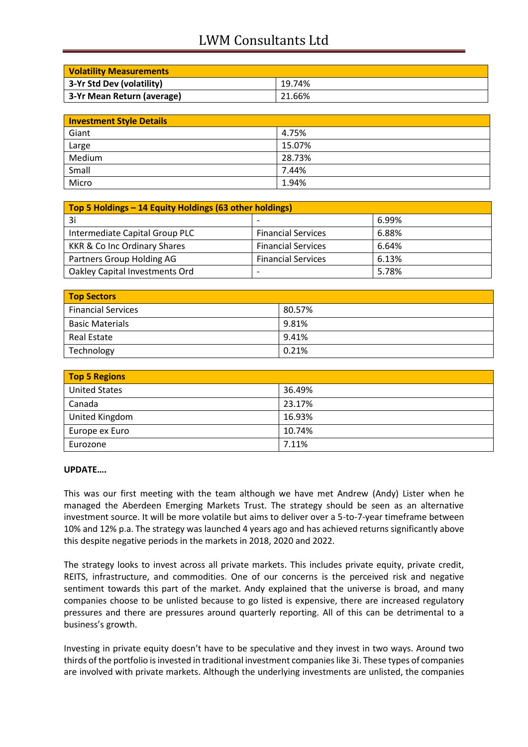## LWM Consultants Ltd

| <b>Volatility Measurements</b> |        |
|--------------------------------|--------|
| 3-Yr Std Dev (volatility)      | 19.74% |
| 3-Yr Mean Return (average)     | 21.66% |

| <b>Investment Style Details</b> |        |  |
|---------------------------------|--------|--|
| Giant                           | 4.75%  |  |
| Large                           | 15.07% |  |
| Medium                          | 28.73% |  |
| Small                           | 7.44%  |  |
| Micro                           | 1.94%  |  |

| Top 5 Holdings - 14 Equity Holdings (63 other holdings) |                           |       |
|---------------------------------------------------------|---------------------------|-------|
| 3i                                                      |                           | 6.99% |
| Intermediate Capital Group PLC                          | <b>Financial Services</b> | 6.88% |
| KKR & Co Inc Ordinary Shares                            | <b>Financial Services</b> | 6.64% |
| Partners Group Holding AG                               | <b>Financial Services</b> | 6.13% |
| Oakley Capital Investments Ord                          |                           | 5.78% |

| <b>Top Sectors</b>        |        |
|---------------------------|--------|
| <b>Financial Services</b> | 80.57% |
| <b>Basic Materials</b>    | 9.81%  |
| Real Estate               | 9.41%  |
| Technology                | 0.21%  |

| <b>Top 5 Regions</b> |        |  |
|----------------------|--------|--|
| <b>United States</b> | 36.49% |  |
| Canada               | 23.17% |  |
| United Kingdom       | 16.93% |  |
| Europe ex Euro       | 10.74% |  |
| Eurozone             | 7.11%  |  |

## **UPDATE….**

This was our first meeting with the team although we have met Andrew (Andy) Lister when he managed the Aberdeen Emerging Markets Trust. The strategy should be seen as an alternative investment source. It will be more volatile but aims to deliver over a 5-to-7-year timeframe between 10% and 12% p.a. The strategy was launched 4 years ago and has achieved returns significantly above this despite negative periods in the markets in 2018, 2020 and 2022.

The strategy looks to invest across all private markets. This includes private equity, private credit, REITS, infrastructure, and commodities. One of our concerns is the perceived risk and negative sentiment towards this part of the market. Andy explained that the universe is broad, and many companies choose to be unlisted because to go listed is expensive, there are increased regulatory pressures and there are pressures around quarterly reporting. All of this can be detrimental to a business's growth.

Investing in private equity doesn't have to be speculative and they invest in two ways. Around two thirds of the portfolio is invested in traditional investment companies like 3i. These types of companies are involved with private markets. Although the underlying investments are unlisted, the companies